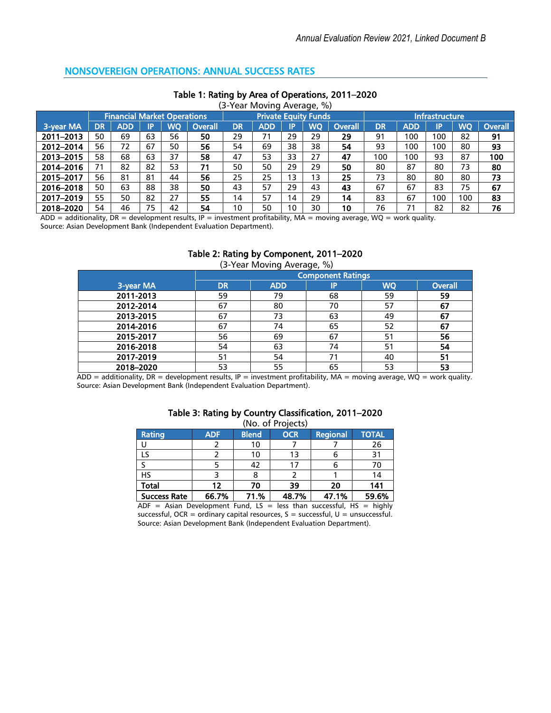# NONSOVEREIGN OPERATIONS: ANNUAL SUCCESS RATES

#### Table 1: Rating by Area of Operations, 2011–2020  $(3 \text{ V} \cdot \text{V} \cdot \text{M} \cdot \text{V} \cdot \text{M} \cdot \text{N} \cdot \text{M} \cdot \text{M} \cdot \text{M} \cdot \text{M} \cdot \text{M} \cdot \text{M} \cdot \text{M} \cdot \text{M} \cdot \text{M} \cdot \text{M} \cdot \text{M} \cdot \text{M} \cdot \text{M} \cdot \text{M} \cdot \text{M} \cdot \text{M} \cdot \text{M} \cdot \text{M} \cdot \text{M} \cdot \text{M} \cdot \text{M} \cdot \text{M} \cdot \text{M} \cdot \text{M} \cdot \text{M} \cdot \$

| (3-rear ivioving Average, %) |                                    |            |    |    |                             |           |            |     |                |                |           |            |     |     |                |
|------------------------------|------------------------------------|------------|----|----|-----------------------------|-----------|------------|-----|----------------|----------------|-----------|------------|-----|-----|----------------|
|                              | <b>Financial Market Operations</b> |            |    |    | <b>Private Equity Funds</b> |           |            |     | Infrastructure |                |           |            |     |     |                |
| 3-year MA                    | <b>DR</b>                          | <b>ADD</b> | IP | WO | <b>Overall</b>              | <b>DR</b> | <b>ADD</b> | IP. | WQ             | <b>Overall</b> | <b>DR</b> | <b>ADD</b> | IP  | WQ  | <b>Overall</b> |
| 2011-2013                    | 50                                 | 69         | 63 | 56 | 50                          | 29        | 71         | 29  | 29             | 29             | 91        | 100        | 100 | 82  | 91             |
| 2012-2014                    | 56                                 | 72         | 67 | 50 | 56                          | 54        | 69         | 38  | 38             | 54             | 93        | 100        | 100 | 80  | 93             |
| 2013-2015                    | 58                                 | 68         | 63 | 37 | 58                          | 47        | 53         | 33  | 27             | 47             | 100       | 100        | 93  | 87  | 100            |
| 2014-2016                    | 71                                 | 82         | 82 | 53 | 71                          | 50        | 50         | 29  | 29             | 50             | 80        | 87         | 80  | 73  | 80             |
| 2015-2017                    | 56                                 | 81         | 81 | 44 | 56                          | 25        | 25         | 13  | 13             | 25             | 73        | 80         | 80  | 80  | 73             |
| 2016-2018                    | 50                                 | 63         | 88 | 38 | 50                          | 43        | 57         | 29  | 43             | 43             | 67        | 67         | 83  | 75  | 67             |
| 2017-2019                    | 55                                 | 50         | 82 | 27 | 55                          | 14        | 57         | 14  | 29             | 14             | 83        | 67         | 100 | 100 | 83             |
| 2018-2020                    | 54                                 | 46         | 75 | 42 | 54                          | 10        | 50         | 10  | 30             | 10             | 76        | 71         | 82  | 82  | 76             |

 $ADD =$  additionality,  $DR =$  development results, IP = investment profitability,  $MA =$  moving average,  $WQ =$  work quality. Source: Asian Development Bank (Independent Evaluation Department).

## Table 2: Rating by Component, 2011–2020

| (3-Year Moving Average, %) |                          |            |    |           |                |  |  |  |  |
|----------------------------|--------------------------|------------|----|-----------|----------------|--|--|--|--|
|                            | <b>Component Ratings</b> |            |    |           |                |  |  |  |  |
| 3-year MA                  | <b>DR</b>                | <b>ADD</b> | IP | <b>WO</b> | <b>Overall</b> |  |  |  |  |
| 2011-2013                  | 59                       | 79         | 68 | 59        | 59             |  |  |  |  |
| 2012-2014                  | 67                       | 80         | 70 | 57        | 67             |  |  |  |  |
| 2013-2015                  | 67                       | 73         | 63 | 49        | 67             |  |  |  |  |
| 2014-2016                  | 67                       | 74         | 65 | 52        | 67             |  |  |  |  |
| 2015-2017                  | 56                       | 69         | 67 | 51        | 56             |  |  |  |  |
| 2016-2018                  | 54                       | 63         | 74 | 51        | 54             |  |  |  |  |
| 2017-2019                  | 51                       | 54         | 71 | 40        | 51             |  |  |  |  |
| 2018-2020                  | 53                       | 55         | 65 | 53        | 53             |  |  |  |  |

 $\overline{ADD}$  = additionality,  $\overline{DR}$  = development results, IP = investment profitability, MA = moving average, WQ = work quality. Source: Asian Development Bank (Independent Evaluation Department).

| וועט. טו דוטוככנגו  |            |              |            |                 |              |  |  |  |  |
|---------------------|------------|--------------|------------|-----------------|--------------|--|--|--|--|
| Rating              | <b>ADF</b> | <b>Blend</b> | <b>OCR</b> | <b>Regional</b> | <b>TOTAL</b> |  |  |  |  |
|                     |            | 10           |            |                 | 26           |  |  |  |  |
| LS                  |            | 10           | 13         |                 | 31           |  |  |  |  |
|                     |            | 42           | 17         |                 | 70           |  |  |  |  |
| HS                  |            | 8            |            |                 | 14           |  |  |  |  |
| <b>Total</b>        | 12         | 70           | 39         | 20              | 141          |  |  |  |  |
| <b>Success Rate</b> | 66.7%      | 71.%         | 48.7%      | 47.1%           | 59.6%        |  |  |  |  |

### Table 3: Rating by Country Classification, 2011–2020 (No. of Projects)

 $\overline{ADF}$  = Asian Development Fund, LS = less than successful, HS = highly successful, OCR = ordinary capital resources,  $S =$  successful,  $U =$  unsuccessful. Source: Asian Development Bank (Independent Evaluation Department).